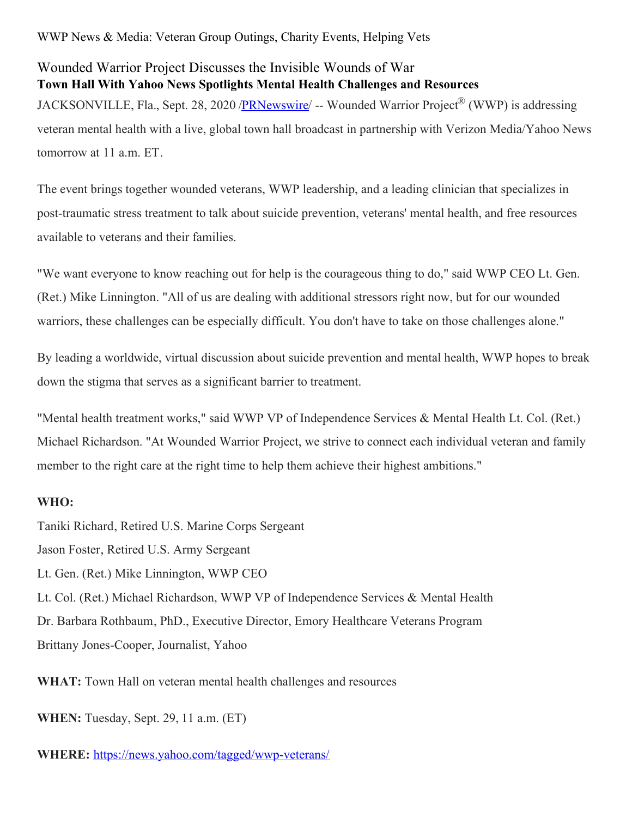## WWP News & Media: Veteran Group Outings, Charity Events, Helping Vets

## Wounded Warrior Project Discusses the Invisible Wounds of War **Town Hall With Yahoo News Spotlights Mental Health Challenges and Resources** JACKSONVILLE, Fla., Sept. 28, 2020 [/PRNewswire](http://www.prnewswire.com/)/ -- Wounded Warrior Project® (WWP) is addressing veteran mental health with a live, global town hall broadcast in partnership with Verizon Media/Yahoo News tomorrow at 11 a.m. ET.

The event brings together wounded veterans, WWP leadership, and a leading clinician that specializes in post-traumatic stress treatment to talk about suicide prevention, veterans' mental health, and free resources available to veterans and their families.

"We want everyone to know reaching out for help is the courageous thing to do," said WWP CEO Lt. Gen. (Ret.) Mike Linnington. "All of us are dealing with additional stressors right now, but for our wounded warriors, these challenges can be especially difficult. You don't have to take on those challenges alone."

By leading a worldwide, virtual discussion about suicide prevention and mental health, WWP hopes to break down the stigma that serves as a significant barrier to treatment.

"Mental health treatment works," said WWP VP of Independence Services & Mental Health Lt. Col. (Ret.) Michael Richardson. "At Wounded Warrior Project, we strive to connect each individual veteran and family member to the right care at the right time to help them achieve their highest ambitions."

## **WHO:**

Taniki Richard, Retired U.S. Marine Corps Sergeant Jason Foster, Retired U.S. Army Sergeant Lt. Gen. (Ret.) Mike Linnington, WWP CEO Lt. Col. (Ret.) Michael Richardson, WWP VP of Independence Services & Mental Health Dr. Barbara Rothbaum, PhD., Executive Director, Emory Healthcare Veterans Program Brittany Jones-Cooper, Journalist, Yahoo

**WHAT:** Town Hall on veteran mental health challenges and resources

**WHEN:** Tuesday, Sept. 29, 11 a.m. (ET)

**WHERE:** [https://news.yahoo.com/tagged/wwp-veterans/](https://c212.net/c/link/?t=0&l=en&o=2931011-1&h=1471281425&u=https%3A%2F%2Furldefense.com%2Fv3%2F__https%3A%2Fnews.yahoo.com%2Ftagged%2Fwwp-veterans%2F__%3B!!Op6eflyXZCqGR5I!XH7kSk4z6eRSqfAUvO4kpnZCXUr4olgaE1quL5mp-Ev6w7ALNlunyXaYMKU4bODV_w%24&a=https%3A%2F%2Fnews.yahoo.com%2Ftagged%2Fwwp-veterans%2F)